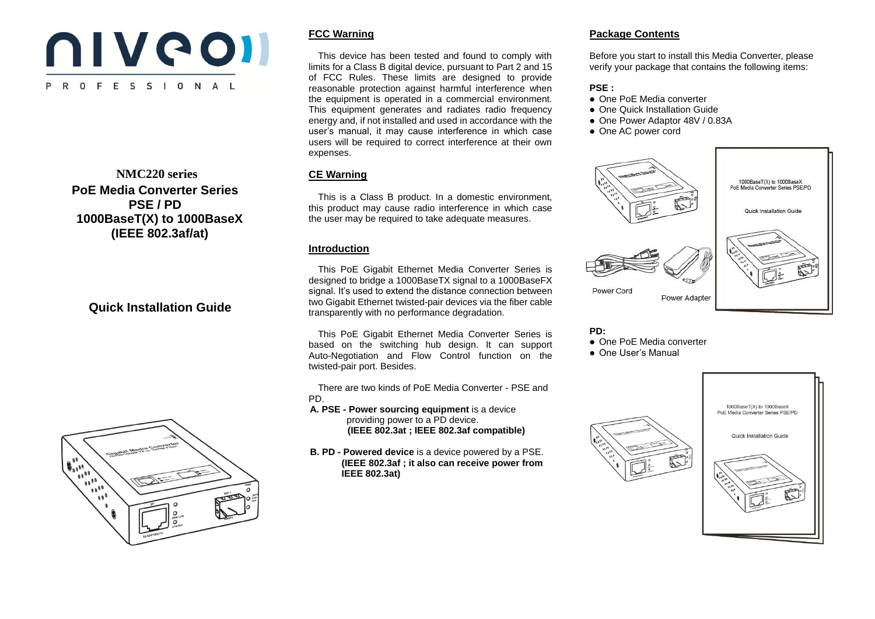# **NIVCOII** P R O F E S S I O N A L

#### **NMC220 series PoE Media Converter Series PSE / PD 1000BaseT(X) to 1000BaseX (IEEE 802.3af/at)**

### **Quick Installation Guide**



#### **FCC Warning**

 This device has been tested and found to comply with limits for a Class B digital device, pursuant to Part 2 and 15 of FCC Rules. These limits are designed to provide reasonable protection against harmful interference when the equipment is operated in a commercial environment. This equipment generates and radiates radio frequency energy and, if not installed and used in accordance with the user's manual, it may cause interference in which case users will be required to correct interference at their own expenses.

#### **CE Warning**

 This is a Class B product. In a domestic environment, this product may cause radio interference in which case the user may be required to take adequate measures.

#### **Introduction**

This PoE Gigabit Ethernet Media Converter Series is designed to bridge a 1000BaseTX signal to a 1000BaseFX signal. It's used to extend the distance connection between two Gigabit Ethernet twisted-pair devices via the fiber cable transparently with no performance degradation.

This PoE Gigabit Ethernet Media Converter Series is based on the switching hub design. It can support Auto-Negotiation and Flow Control function on the twisted-pair port. Besides.

There are two kinds of PoE Media Converter - PSE and PD.

**A. PSE - Power sourcing equipment** is a device providing power to a PD device.  **(IEEE 802.3at ; IEEE 802.3af compatible)**

**B. PD - Powered device** is a device powered by a PSE. **(IEEE 802.3af ; it also can receive power from IEEE 802.3at)**

#### **Package Contents**

Before you start to install this Media Converter, please verify your package that contains the following items:

#### **PSE :**

- One PoE Media converter
- One Quick Installation Guide
- One Power Adaptor 48V / 0.83A
- One AC power cord



**PD:** One PoE Media converter

One User's Manual